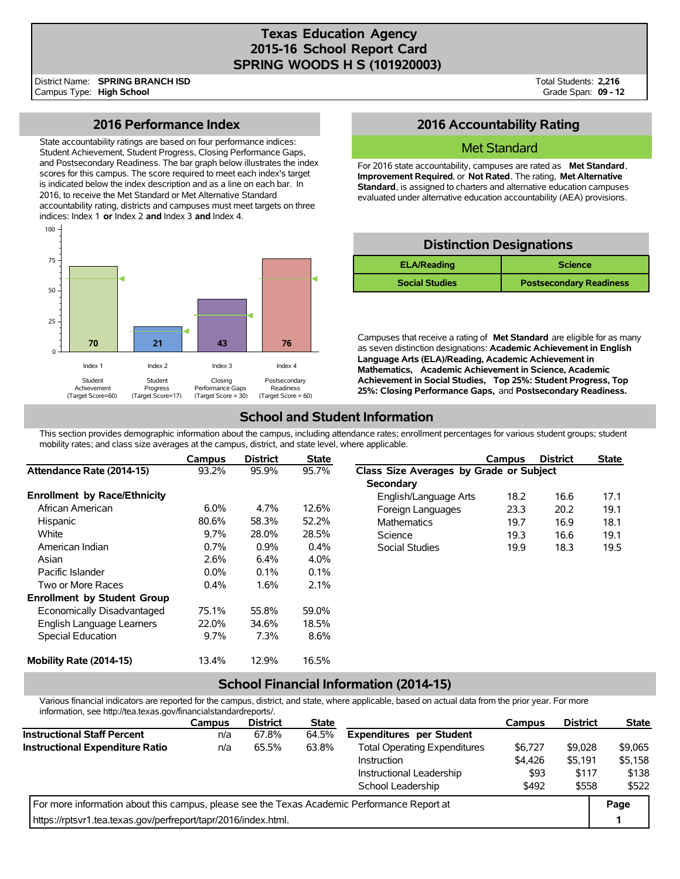## **Texas Education Agency 2015-16 School Report Card SPRING WOODS H S (101920003)**

District Name: Campus Type: **High School SPRING BRANCH ISD** Total Students: **2,216** Grade Span: **09 - 12**

## **2016 Performance Index**

State accountability ratings are based on four performance indices: Student Achievement, Student Progress, Closing Performance Gaps, and Postsecondary Readiness. The bar graph below illustrates the index scores for this campus. The score required to meet each index's target is indicated below the index description and as a line on each bar. In 2016, to receive the Met Standard or Met Alternative Standard accountability rating, districts and campuses must meet targets on three indices: Index 1 **or** Index 2 **and** Index 3 **and** Index 4.



## **2016 Accountability Rating**

### Met Standard

For 2016 state accountability, campuses are rated as **Met Standard**, **Improvement Required**, or **Not Rated**. The rating, **Met Alternative Standard**, is assigned to charters and alternative education campuses evaluated under alternative education accountability (AEA) provisions.

| <b>Distinction Designations</b>      |                                |  |  |  |  |  |  |  |
|--------------------------------------|--------------------------------|--|--|--|--|--|--|--|
| <b>ELA/Reading</b><br><b>Science</b> |                                |  |  |  |  |  |  |  |
| <b>Social Studies</b>                | <b>Postsecondary Readiness</b> |  |  |  |  |  |  |  |

Campuses that receive a rating of **Met Standard** are eligible for as many as seven distinction designations: **Academic Achievement in English Language Arts (ELA)/Reading, Academic Achievement in Mathematics, Academic Achievement in Science, Academic Achievement in Social Studies, Top 25%: Student Progress, Top 25%: Closing Performance Gaps,** and **Postsecondary Readiness.**

# **School and Student Information**

This section provides demographic information about the campus, including attendance rates; enrollment percentages for various student groups; student mobility rates; and class size averages at the campus, district, and state level, where applicable.

|                                     | Campus  | <b>District</b> | <b>State</b> |                                         | Campus | <b>District</b> | <b>State</b> |  |
|-------------------------------------|---------|-----------------|--------------|-----------------------------------------|--------|-----------------|--------------|--|
| Attendance Rate (2014-15)           | 93.2%   | 95.9%           | 95.7%        | Class Size Averages by Grade or Subject |        |                 |              |  |
|                                     |         |                 |              | Secondary                               |        |                 |              |  |
| <b>Enrollment by Race/Ethnicity</b> |         |                 |              | English/Language Arts                   | 18.2   | 16.6            | 17.1         |  |
| African American                    | 6.0%    | 4.7%            | 12.6%        | Foreign Languages                       | 23.3   | 20.2            | 19.1         |  |
| Hispanic                            | 80.6%   | 58.3%           | 52.2%        | <b>Mathematics</b>                      | 19.7   | 16.9            | 18.1         |  |
| White                               | 9.7%    | 28.0%           | 28.5%        | Science                                 | 19.3   | 16.6            | 19.1         |  |
| American Indian                     | 0.7%    | 0.9%            | 0.4%         | Social Studies                          | 19.9   | 18.3            | 19.5         |  |
| Asian                               | 2.6%    | 6.4%            | 4.0%         |                                         |        |                 |              |  |
| Pacific Islander                    | $0.0\%$ | 0.1%            | 0.1%         |                                         |        |                 |              |  |
| Two or More Races                   | 0.4%    | 1.6%            | 2.1%         |                                         |        |                 |              |  |
| <b>Enrollment by Student Group</b>  |         |                 |              |                                         |        |                 |              |  |
| Economically Disadvantaged          | 75.1%   | 55.8%           | 59.0%        |                                         |        |                 |              |  |
| English Language Learners           | 22.0%   | 34.6%           | 18.5%        |                                         |        |                 |              |  |
| Special Education                   | 9.7%    | 7.3%            | 8.6%         |                                         |        |                 |              |  |
| Mobility Rate (2014-15)             | 13.4%   | 12.9%           | 16.5%        |                                         |        |                 |              |  |

## **School Financial Information (2014-15)**

Various financial indicators are reported for the campus, district, and state, where applicable, based on actual data from the prior year. For more information, see http://tea.texas.gov/financialstandardreports/.

|                                                                                             | <b>Campus</b> | <b>District</b> | <b>State</b> |                                     | Campus  | <b>District</b> | <b>State</b> |
|---------------------------------------------------------------------------------------------|---------------|-----------------|--------------|-------------------------------------|---------|-----------------|--------------|
| <b>Instructional Staff Percent</b>                                                          | n/a           | 67.8%           | 64.5%        | <b>Expenditures per Student</b>     |         |                 |              |
| Instructional Expenditure Ratio                                                             | n/a           | 65.5%           | 63.8%        | <b>Total Operating Expenditures</b> | \$6,727 | \$9,028         | \$9,065      |
|                                                                                             |               |                 |              | Instruction                         | \$4,426 | \$5.191         | \$5.158      |
|                                                                                             |               |                 |              | Instructional Leadership            | \$93    | \$117           | \$138        |
|                                                                                             |               |                 |              | School Leadership                   | \$492   | \$558           | \$522        |
| For more information about this campus, please see the Texas Academic Performance Report at |               |                 |              |                                     |         |                 | Page         |
| https://rptsvr1.tea.texas.gov/perfreport/tapr/2016/index.html.                              |               |                 |              |                                     |         |                 |              |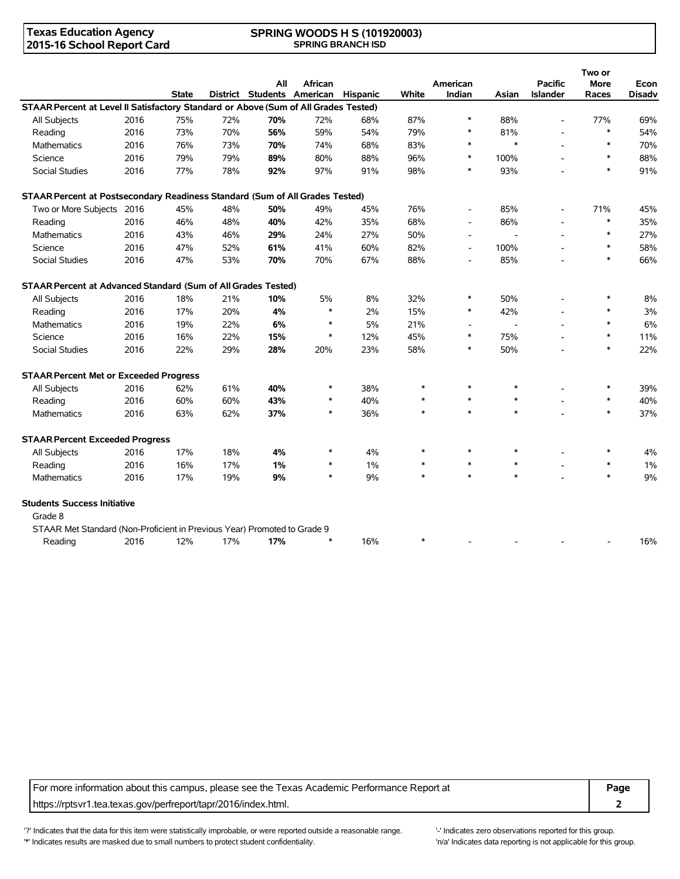#### **Texas Education Agency 2015-16 School Report Card**

#### **SPRING WOODS H S (101920003) SPRING BRANCH ISD**

|                                                                                     |      |              |     | All                        | African |                 |        | American       |        | <b>Pacific</b>  | Two or<br><b>More</b> | Econ          |
|-------------------------------------------------------------------------------------|------|--------------|-----|----------------------------|---------|-----------------|--------|----------------|--------|-----------------|-----------------------|---------------|
|                                                                                     |      | <b>State</b> |     | District Students American |         | <b>Hispanic</b> | White  | Indian         | Asian  | <b>Islander</b> | Races                 | <b>Disadv</b> |
| STAAR Percent at Level II Satisfactory Standard or Above (Sum of All Grades Tested) |      |              |     |                            |         |                 |        |                |        |                 |                       |               |
| All Subjects                                                                        | 2016 | 75%          | 72% | 70%                        | 72%     | 68%             | 87%    | $\ast$         | 88%    | $\overline{a}$  | 77%                   | 69%           |
| Reading                                                                             | 2016 | 73%          | 70% | 56%                        | 59%     | 54%             | 79%    | $\ast$         | 81%    |                 | $\ast$                | 54%           |
| <b>Mathematics</b>                                                                  | 2016 | 76%          | 73% | 70%                        | 74%     | 68%             | 83%    | $\ast$         | $\ast$ |                 | $\ast$                | 70%           |
| Science                                                                             | 2016 | 79%          | 79% | 89%                        | 80%     | 88%             | 96%    | $\ast$         | 100%   |                 | $\ast$                | 88%           |
| <b>Social Studies</b>                                                               | 2016 | 77%          | 78% | 92%                        | 97%     | 91%             | 98%    | $\ast$         | 93%    |                 | $\ast$                | 91%           |
| STAAR Percent at Postsecondary Readiness Standard (Sum of All Grades Tested)        |      |              |     |                            |         |                 |        |                |        |                 |                       |               |
| Two or More Subjects 2016                                                           |      | 45%          | 48% | 50%                        | 49%     | 45%             | 76%    |                | 85%    |                 | 71%                   | 45%           |
| Reading                                                                             | 2016 | 46%          | 48% | 40%                        | 42%     | 35%             | 68%    |                | 86%    |                 | $\ast$                | 35%           |
| <b>Mathematics</b>                                                                  | 2016 | 43%          | 46% | 29%                        | 24%     | 27%             | 50%    |                |        |                 | $\ast$                | 27%           |
| Science                                                                             | 2016 | 47%          | 52% | 61%                        | 41%     | 60%             | 82%    | $\blacksquare$ | 100%   |                 | $\ast$                | 58%           |
| Social Studies                                                                      | 2016 | 47%          | 53% | 70%                        | 70%     | 67%             | 88%    |                | 85%    |                 | $\ast$                | 66%           |
| STAAR Percent at Advanced Standard (Sum of All Grades Tested)                       |      |              |     |                            |         |                 |        |                |        |                 |                       |               |
| All Subjects                                                                        | 2016 | 18%          | 21% | 10%                        | 5%      | 8%              | 32%    | $\ast$         | 50%    |                 | $\ast$                | 8%            |
| Reading                                                                             | 2016 | 17%          | 20% | 4%                         | $\ast$  | 2%              | 15%    | $\ast$         | 42%    |                 | $\ast$                | 3%            |
| <b>Mathematics</b>                                                                  | 2016 | 19%          | 22% | 6%                         | $\ast$  | 5%              | 21%    |                |        |                 | $\ast$                | 6%            |
| Science                                                                             | 2016 | 16%          | 22% | 15%                        | $\ast$  | 12%             | 45%    | $\ast$         | 75%    |                 | $\ast$                | 11%           |
| Social Studies                                                                      | 2016 | 22%          | 29% | 28%                        | 20%     | 23%             | 58%    | $\ast$         | 50%    |                 | $\ast$                | 22%           |
| <b>STAAR Percent Met or Exceeded Progress</b>                                       |      |              |     |                            |         |                 |        |                |        |                 |                       |               |
| All Subjects                                                                        | 2016 | 62%          | 61% | 40%                        | $\ast$  | 38%             | $\ast$ | $\ast$         | $\ast$ |                 | $\ast$                | 39%           |
| Reading                                                                             | 2016 | 60%          | 60% | 43%                        | $\ast$  | 40%             | $\ast$ | $\ast$         | $\ast$ |                 | $\ast$                | 40%           |
| <b>Mathematics</b>                                                                  | 2016 | 63%          | 62% | 37%                        | $\ast$  | 36%             | $\ast$ | $\ast$         | $\ast$ |                 | $\ast$                | 37%           |
| <b>STAAR Percent Exceeded Progress</b>                                              |      |              |     |                            |         |                 |        |                |        |                 |                       |               |
| All Subjects                                                                        | 2016 | 17%          | 18% | 4%                         | ∗       | 4%              | $\ast$ | $\ast$         | $\ast$ |                 | $\ast$                | 4%            |
| Reading                                                                             | 2016 | 16%          | 17% | 1%                         | $\ast$  | 1%              | $\ast$ | $\ast$         | $\ast$ |                 | $\ast$                | 1%            |
| Mathematics                                                                         | 2016 | 17%          | 19% | 9%                         | $\ast$  | 9%              | $\ast$ | $\ast$         | $\ast$ |                 | $\ast$                | 9%            |
| <b>Students Success Initiative</b>                                                  |      |              |     |                            |         |                 |        |                |        |                 |                       |               |
| Grade 8                                                                             |      |              |     |                            |         |                 |        |                |        |                 |                       |               |
| STAAR Met Standard (Non-Proficient in Previous Year) Promoted to Grade 9            |      |              |     |                            |         |                 |        |                |        |                 |                       |               |
| Reading                                                                             | 2016 | 12%          | 17% | 17%                        | $\ast$  | 16%             | $\ast$ |                |        |                 |                       | 16%           |

For more information about this campus, please see the Texas Academic Performance Report at **Page** https://rptsvr1.tea.texas.gov/perfreport/tapr/2016/index.html. **2**

'?' Indicates that the data for this item were statistically improbable, or were reported outside a reasonable range. '-' Indicates zero observations reported for this group. '\*' Indicates results are masked due to small numbers to protect student confidentiality. Moreover the student of the student confidentiality.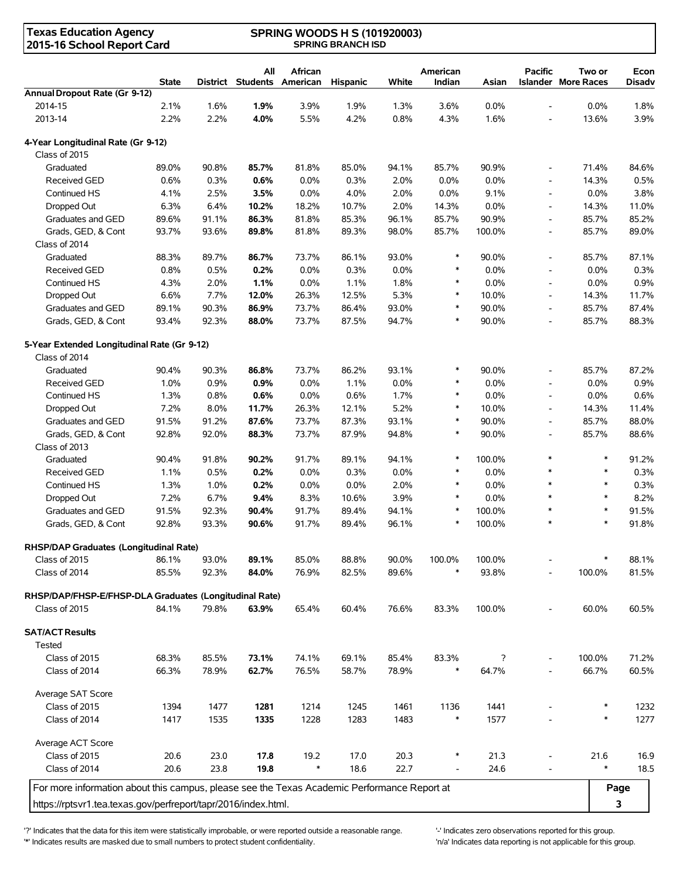| <b>Texas Education Agency</b><br>2015-16 School Report Card                                 |                | <b>SPRING WOODS H S (101920003)</b><br><b>SPRING BRANCH ISD</b> |                        |                     |                 |                |                    |            |                          |                                      |                       |
|---------------------------------------------------------------------------------------------|----------------|-----------------------------------------------------------------|------------------------|---------------------|-----------------|----------------|--------------------|------------|--------------------------|--------------------------------------|-----------------------|
|                                                                                             | <b>State</b>   | District                                                        | All<br><b>Students</b> | African<br>American | <b>Hispanic</b> | White          | American<br>Indian | Asian      | <b>Pacific</b>           | Two or<br><b>Islander More Races</b> | Econ<br><b>Disadv</b> |
| Annual Dropout Rate (Gr 9-12)                                                               |                |                                                                 |                        |                     |                 |                |                    |            |                          |                                      |                       |
| 2014-15                                                                                     | 2.1%           | 1.6%                                                            | 1.9%                   | 3.9%                | 1.9%            | 1.3%           | 3.6%               | 0.0%       | $\overline{\phantom{a}}$ | 0.0%                                 | 1.8%                  |
| 2013-14                                                                                     | 2.2%           | 2.2%                                                            | 4.0%                   | 5.5%                | 4.2%            | 0.8%           | 4.3%               | 1.6%       | $\overline{\phantom{0}}$ | 13.6%                                | 3.9%                  |
| 4-Year Longitudinal Rate (Gr 9-12)<br>Class of 2015                                         |                |                                                                 |                        |                     |                 |                |                    |            |                          |                                      |                       |
| Graduated                                                                                   | 89.0%          | 90.8%                                                           | 85.7%                  | 81.8%               | 85.0%           | 94.1%          | 85.7%              | 90.9%      | $\overline{\phantom{a}}$ | 71.4%                                | 84.6%                 |
| <b>Received GED</b>                                                                         | 0.6%           | 0.3%                                                            | 0.6%                   | 0.0%                | 0.3%            | 2.0%           | 0.0%               | 0.0%       | $\overline{\phantom{a}}$ | 14.3%                                | 0.5%                  |
| Continued HS                                                                                | 4.1%           | 2.5%                                                            | 3.5%                   | 0.0%                | 4.0%            | 2.0%           | 0.0%               | 9.1%       | $\overline{\phantom{a}}$ | 0.0%                                 | 3.8%                  |
| Dropped Out                                                                                 | 6.3%           | 6.4%                                                            | 10.2%                  | 18.2%               | 10.7%           | 2.0%           | 14.3%              | 0.0%       | $\overline{\phantom{a}}$ | 14.3%                                | 11.0%                 |
| Graduates and GED                                                                           | 89.6%          | 91.1%                                                           | 86.3%                  | 81.8%               | 85.3%           | 96.1%          | 85.7%              | 90.9%      | $\overline{a}$           | 85.7%                                | 85.2%                 |
| Grads, GED, & Cont                                                                          | 93.7%          | 93.6%                                                           | 89.8%                  | 81.8%               | 89.3%           | 98.0%          | 85.7%              | 100.0%     | $\overline{\phantom{a}}$ | 85.7%                                | 89.0%                 |
| Class of 2014                                                                               |                |                                                                 |                        |                     |                 |                |                    |            |                          |                                      |                       |
| Graduated                                                                                   | 88.3%          | 89.7%                                                           | 86.7%                  | 73.7%               | 86.1%           | 93.0%          | $\ast$             | 90.0%      | $\overline{\phantom{a}}$ | 85.7%                                | 87.1%                 |
| <b>Received GED</b>                                                                         | 0.8%           | 0.5%                                                            | 0.2%                   | 0.0%                | 0.3%            | 0.0%           | $\ast$             | 0.0%       | $\overline{\phantom{a}}$ | 0.0%                                 | 0.3%                  |
| Continued HS                                                                                | 4.3%           | 2.0%                                                            | 1.1%                   | 0.0%                | 1.1%            | 1.8%           | $\ast$             | 0.0%       | $\overline{\phantom{a}}$ | 0.0%                                 | 0.9%                  |
| Dropped Out                                                                                 | 6.6%           | 7.7%                                                            | 12.0%                  | 26.3%               | 12.5%           | 5.3%           | $\ast$             | 10.0%      | $\overline{\phantom{a}}$ | 14.3%                                | 11.7%                 |
| Graduates and GED                                                                           | 89.1%          | 90.3%                                                           | 86.9%                  | 73.7%               | 86.4%           | 93.0%          | $\ast$             | 90.0%      | $\overline{\phantom{a}}$ | 85.7%                                | 87.4%                 |
| Grads, GED, & Cont                                                                          | 93.4%          | 92.3%                                                           | 88.0%                  | 73.7%               | 87.5%           | 94.7%          | $\ast$             | 90.0%      | $\overline{\phantom{a}}$ | 85.7%                                | 88.3%                 |
| 5-Year Extended Longitudinal Rate (Gr 9-12)                                                 |                |                                                                 |                        |                     |                 |                |                    |            |                          |                                      |                       |
| Class of 2014                                                                               |                |                                                                 |                        |                     |                 |                |                    |            |                          |                                      |                       |
| Graduated                                                                                   | 90.4%          | 90.3%                                                           | 86.8%                  | 73.7%               | 86.2%           | 93.1%          | $\ast$             | 90.0%      | $\overline{\phantom{a}}$ | 85.7%                                | 87.2%                 |
| <b>Received GED</b>                                                                         | 1.0%           | 0.9%                                                            | 0.9%                   | 0.0%                | 1.1%            | 0.0%           | $\ast$             | 0.0%       | $\overline{\phantom{a}}$ | 0.0%                                 | 0.9%                  |
| Continued HS                                                                                | 1.3%           | 0.8%                                                            | 0.6%                   | 0.0%                | 0.6%            | 1.7%           | $\ast$             | 0.0%       | $\overline{\phantom{a}}$ | 0.0%                                 | 0.6%                  |
| Dropped Out                                                                                 | 7.2%           | 8.0%                                                            | 11.7%                  | 26.3%               | 12.1%           | 5.2%           | $\ast$             | 10.0%      | $\overline{\phantom{a}}$ | 14.3%                                | 11.4%                 |
| Graduates and GED                                                                           | 91.5%          | 91.2%                                                           | 87.6%                  | 73.7%               | 87.3%           | 93.1%          | $\ast$             | 90.0%      | $\overline{\phantom{a}}$ | 85.7%                                | 88.0%                 |
| Grads, GED, & Cont                                                                          | 92.8%          | 92.0%                                                           | 88.3%                  | 73.7%               | 87.9%           | 94.8%          | $\ast$             | 90.0%      | $\overline{\phantom{a}}$ | 85.7%                                | 88.6%                 |
| Class of 2013                                                                               |                |                                                                 |                        |                     |                 |                |                    |            |                          |                                      |                       |
| Graduated                                                                                   | 90.4%          | 91.8%                                                           | 90.2%                  | 91.7%               | 89.1%           | 94.1%          | $\ast$             | 100.0%     | $\ast$                   | $\ast$                               | 91.2%                 |
| <b>Received GED</b>                                                                         | 1.1%           | 0.5%                                                            | 0.2%                   | 0.0%                | 0.3%            | 0.0%           | $\ast$             | 0.0%       |                          | $\ast$                               | 0.3%                  |
| Continued HS                                                                                | 1.3%           | 1.0%                                                            | 0.2%                   | 0.0%                | 0.0%            | 2.0%           | $\ast$             | 0.0%       | $\ast$                   | $\ast$                               | 0.3%                  |
| Dropped Out                                                                                 | 7.2%           | 6.7%                                                            | 9.4%                   | 8.3%                | 10.6%           | 3.9%           | $\ast$             | 0.0%       |                          | $\ast$                               | 8.2%                  |
| Graduates and GED                                                                           | 91.5%          | 92.3%                                                           | 90.4%                  | 91.7%               | 89.4%           | 94.1%          | $\ast$             | 100.0%     |                          | $\ast$                               | 91.5%                 |
| Grads, GED, & Cont                                                                          | 92.8%          | 93.3%                                                           | 90.6%                  | 91.7%               | 89.4%           | 96.1%          |                    | 100.0%     |                          |                                      | 91.8%                 |
| RHSP/DAP Graduates (Longitudinal Rate)                                                      |                |                                                                 |                        |                     |                 |                |                    |            |                          |                                      |                       |
| Class of 2015                                                                               | 86.1%          | 93.0%                                                           | 89.1%                  | 85.0%               | 88.8%           | 90.0%          | 100.0%             | 100.0%     |                          |                                      | 88.1%                 |
| Class of 2014                                                                               | 85.5%          | 92.3%                                                           | 84.0%                  | 76.9%               | 82.5%           | 89.6%          | $\ast$             | 93.8%      | L,                       | 100.0%                               | 81.5%                 |
| RHSP/DAP/FHSP-E/FHSP-DLA Graduates (Longitudinal Rate)                                      |                |                                                                 |                        |                     |                 |                |                    |            |                          |                                      |                       |
| Class of 2015                                                                               | 84.1%          | 79.8%                                                           | 63.9%                  | 65.4%               | 60.4%           | 76.6%          | 83.3%              | 100.0%     |                          | 60.0%                                | 60.5%                 |
| <b>SAT/ACT Results</b>                                                                      |                |                                                                 |                        |                     |                 |                |                    |            |                          |                                      |                       |
| Tested                                                                                      |                |                                                                 |                        |                     |                 |                |                    |            |                          |                                      |                       |
| Class of 2015<br>Class of 2014                                                              | 68.3%<br>66.3% | 85.5%<br>78.9%                                                  | 73.1%<br>62.7%         | 74.1%<br>76.5%      | 69.1%<br>58.7%  | 85.4%<br>78.9% | 83.3%<br>∗         | ?<br>64.7% |                          | 100.0%<br>66.7%                      | 71.2%<br>60.5%        |
|                                                                                             |                |                                                                 |                        |                     |                 |                |                    |            |                          |                                      |                       |
| Average SAT Score                                                                           |                |                                                                 |                        |                     |                 |                |                    |            |                          |                                      |                       |
| Class of 2015                                                                               | 1394           | 1477                                                            | 1281                   | 1214                | 1245            | 1461           | 1136               | 1441       |                          |                                      | 1232                  |
| Class of 2014                                                                               | 1417           | 1535                                                            | 1335                   | 1228                | 1283            | 1483           | $\ast$             | 1577       |                          | $\ast$                               | 1277                  |
| Average ACT Score                                                                           |                |                                                                 |                        |                     |                 |                |                    |            |                          |                                      |                       |
| Class of 2015                                                                               | 20.6           | 23.0                                                            | 17.8                   | 19.2                | 17.0            | 20.3           | $\ast$             | 21.3       |                          | 21.6                                 | 16.9                  |
| Class of 2014                                                                               | 20.6           | 23.8                                                            | 19.8                   | $\ast$              | 18.6            | 22.7           | $\blacksquare$     | 24.6       |                          | $\ast$                               | 18.5                  |
| For more information about this campus, please see the Texas Academic Performance Report at |                |                                                                 |                        |                     |                 |                |                    |            |                          |                                      | Page                  |
| https://rptsvr1.tea.texas.gov/perfreport/tapr/2016/index.html.                              |                |                                                                 |                        |                     |                 |                |                    |            |                          |                                      | 3                     |
|                                                                                             |                |                                                                 |                        |                     |                 |                |                    |            |                          |                                      |                       |

'?' Indicates that the data for this item were statistically improbable, or were reported outside a reasonable range.<br>'\*' Indicates zero observations reported for this group.<br>'n/a' Indicates data reporting is not applicabl '\*' Indicates results are masked due to small numbers to protect student confidentiality.